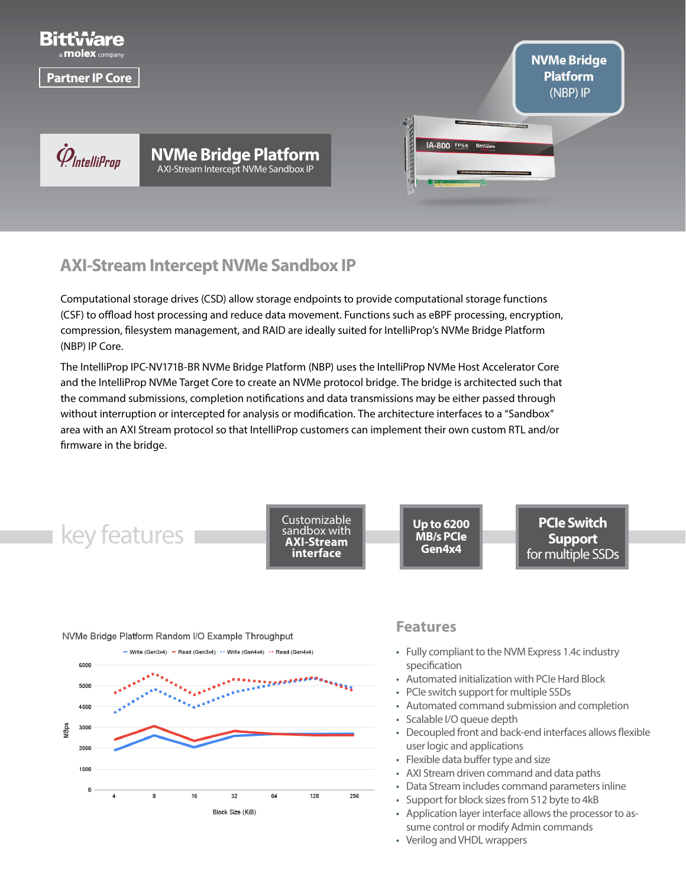

# **AXI-Stream Intercept NVMe Sandbox IP**

Computational storage drives (CSD) allow storage endpoints to provide computational storage functions (CSF) to offload host processing and reduce data movement. Functions such as eBPF processing, encryption, compression, filesystem management, and RAID are ideally suited for IntelliProp's NVMe Bridge Platform (NBP) IP Core.

The IntelliProp IPC-NV171B-BR NVMe Bridge Platform (NBP) uses the IntelliProp NVMe Host Accelerator Core and the IntelliProp NVMe Target Core to create an NVMe protocol bridge. The bridge is architected such that the command submissions, completion notifications and data transmissions may be either passed through without interruption or intercepted for analysis or modification. The architecture interfaces to a "Sandbox" area with an AXI Stream protocol so that IntelliProp customers can implement their own custom RTL and/or firmware in the bridge.

key features **Customizable** sandbox with **AXI-Stream interface PCIe Switch Support**  for multiple SSDs **Up to 6200 MB/s PCIe Gen4x4**

#### NVMe Bridge Platform Random I/O Example Throughput - Write (Gen3x4) - Read (Gen3x4) - Write (Gen4x4) - Read (Gen4x4) 6000 5000 4000 3000 VIBps 2000 1000  $\overline{0}$ 16 128  $\overline{A}$ 8  $32$ 64 256 Block Size (KiB)

### **Features**

- Fully compliant to the NVM Express 1.4c industry specification
- Automated initialization with PCIe Hard Block
- PCIe switch support for multiple SSDs
- Automated command submission and completion
- Scalable I/O queue depth
- Decoupled front and back-end interfaces allows flexible user logic and applications
- Flexible data buffer type and size
- AXI Stream driven command and data paths
- Data Stream includes command parameters inline
- Support for block sizes from 512 byte to 4kB
- Application layer interface allows the processor to assume control or modify Admin commands
- Verilog and VHDL wrappers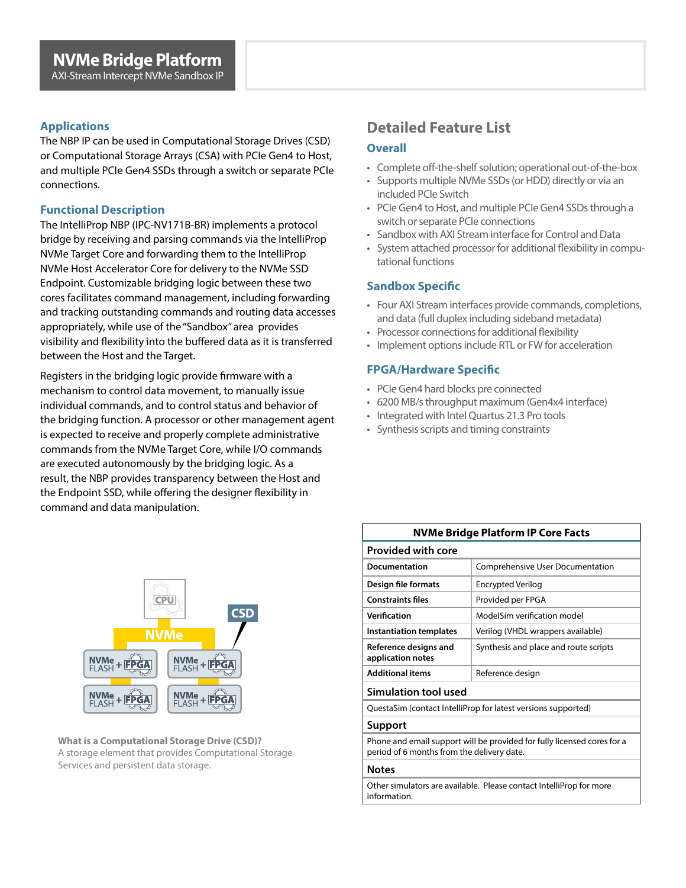### **Applications**

The NBP IP can be used in Computational Storage Drives (CSD) or Computational Storage Arrays (CSA) with PCIe Gen4 to Host, and multiple PCIe Gen4 SSDs through a switch or separate PCIe connections.

#### **Functional Description**

The IntelliProp NBP (IPC-NV171B-BR) implements a protocol bridge by receiving and parsing commands via the IntelliProp NVMe Target Core and forwarding them to the IntelliProp NVMe Host Accelerator Core for delivery to the NVMe SSD Endpoint. Customizable bridging logic between these two cores facilitates command management, including forwarding and tracking outstanding commands and routing data accesses appropriately, while use of the "Sandbox" area provides visibility and flexibility into the buffered data as it is transferred between the Host and the Target.

Registers in the bridging logic provide firmware with a mechanism to control data movement, to manually issue individual commands, and to control status and behavior of the bridging function. A processor or other management agent is expected to receive and properly complete administrative commands from the NVMe Target Core, while I/O commands are executed autonomously by the bridging logic. As a result, the NBP provides transparency between the Host and the Endpoint SSD, while offering the designer flexibility in command and data manipulation.



**What is a Computational Storage Drive (CSD)?** A storage element that provides Computational Storage Services and persistent data storage.

# **Detailed Feature List**

#### **Overall**

- Complete off-the-shelf solution; operational out-of-the-box
- Supports multiple NVMe SSDs (or HDD) directly or via an included PCIe Switch
- PCIe Gen4 to Host, and multiple PCIe Gen4 SSDs through a switch or separate PCIe connections
- Sandbox with AXI Stream interface for Control and Data
- System attached processor for additional flexibility in computational functions

### **Sandbox Specific**

information.

- Four AXI Stream interfaces provide commands, completions, and data (full duplex including sideband metadata)
- Processor connections for additional flexibility
- Implement options include RTL or FW for acceleration

### **FPGA/Hardware Specific**

- PCIe Gen4 hard blocks pre connected
- 6200 MB/s throughput maximum (Gen4x4 interface)
- Integrated with Intel Quartus 21.3 Pro tools
- Synthesis scripts and timing constraints

| NVMe Bridge Platform IP Core Facts                                                                                    |                                       |  |  |
|-----------------------------------------------------------------------------------------------------------------------|---------------------------------------|--|--|
| <b>Provided with core</b>                                                                                             |                                       |  |  |
| Documentation                                                                                                         | Comprehensive User Documentation      |  |  |
| Design file formats                                                                                                   | <b>Encrypted Verilog</b>              |  |  |
| <b>Constraints files</b>                                                                                              | Provided per FPGA                     |  |  |
| Verification                                                                                                          | ModelSim verification model           |  |  |
| <b>Instantiation templates</b>                                                                                        | Verilog (VHDL wrappers available)     |  |  |
| Reference designs and<br>application notes                                                                            | Synthesis and place and route scripts |  |  |
| <b>Additional items</b>                                                                                               | Reference design                      |  |  |
| Simulation tool used                                                                                                  |                                       |  |  |
| QuestaSim (contact IntelliProp for latest versions supported)                                                         |                                       |  |  |
| Support                                                                                                               |                                       |  |  |
| Phone and email support will be provided for fully licensed cores for a<br>period of 6 months from the delivery date. |                                       |  |  |
| <b>Notes</b>                                                                                                          |                                       |  |  |
| Other simulators are available. Please contact IntelliProp for more                                                   |                                       |  |  |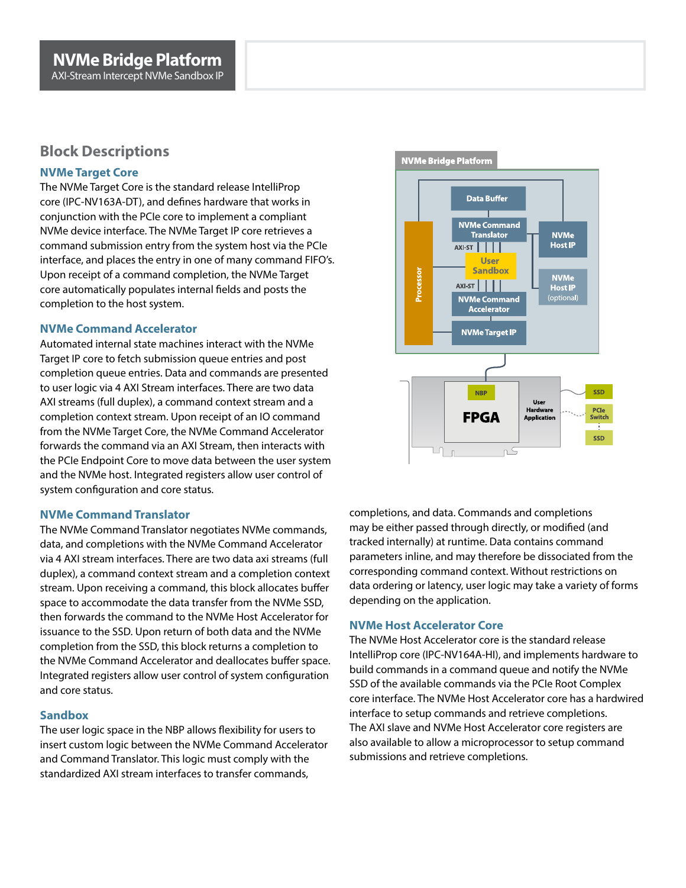# **Block Descriptions**

#### **NVMe Target Core**

The NVMe Target Core is the standard release IntelliProp core (IPC-NV163A-DT), and defines hardware that works in conjunction with the PCIe core to implement a compliant NVMe device interface. The NVMe Target IP core retrieves a command submission entry from the system host via the PCIe interface, and places the entry in one of many command FIFO's. Upon receipt of a command completion, the NVMe Target core automatically populates internal fields and posts the completion to the host system.

#### **NVMe Command Accelerator**

Automated internal state machines interact with the NVMe Target IP core to fetch submission queue entries and post completion queue entries. Data and commands are presented to user logic via 4 AXI Stream interfaces. There are two data AXI streams (full duplex), a command context stream and a completion context stream. Upon receipt of an IO command from the NVMe Target Core, the NVMe Command Accelerator forwards the command via an AXI Stream, then interacts with the PCIe Endpoint Core to move data between the user system and the NVMe host. Integrated registers allow user control of system configuration and core status.

#### **NVMe Command Translator**

The NVMe Command Translator negotiates NVMe commands, data, and completions with the NVMe Command Accelerator via 4 AXI stream interfaces. There are two data axi streams (full duplex), a command context stream and a completion context stream. Upon receiving a command, this block allocates buffer space to accommodate the data transfer from the NVMe SSD, then forwards the command to the NVMe Host Accelerator for issuance to the SSD. Upon return of both data and the NVMe completion from the SSD, this block returns a completion to the NVMe Command Accelerator and deallocates buffer space. Integrated registers allow user control of system configuration and core status.

#### **Sandbox**

The user logic space in the NBP allows flexibility for users to insert custom logic between the NVMe Command Accelerator and Command Translator. This logic must comply with the standardized AXI stream interfaces to transfer commands,



completions, and data. Commands and completions may be either passed through directly, or modified (and tracked internally) at runtime. Data contains command parameters inline, and may therefore be dissociated from the corresponding command context. Without restrictions on data ordering or latency, user logic may take a variety of forms depending on the application.

#### **NVMe Host Accelerator Core**

The NVMe Host Accelerator core is the standard release IntelliProp core (IPC-NV164A-HI), and implements hardware to build commands in a command queue and notify the NVMe SSD of the available commands via the PCIe Root Complex core interface. The NVMe Host Accelerator core has a hardwired interface to setup commands and retrieve completions. The AXI slave and NVMe Host Accelerator core registers are also available to allow a microprocessor to setup command submissions and retrieve completions.